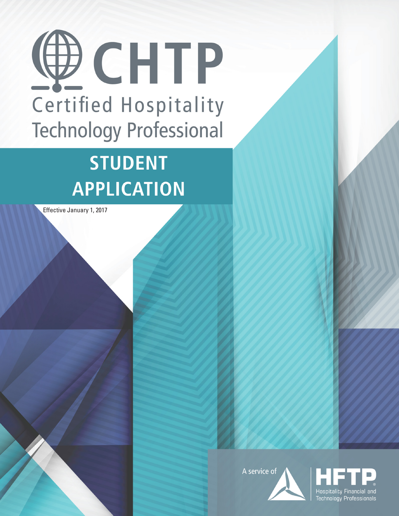

# **STUDENT APPLICATION**

Effective January 1, 2017



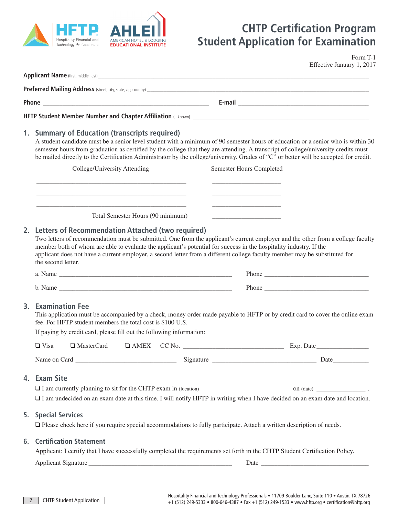

# **CHTP Certification Program Student Application for Examination**

Form T-1 Effective January 1, 2017

Applicant Name (first, middle, last) **Preferred Mailing Address** (street, city, state, zip, country) \_\_\_\_\_\_\_\_\_\_\_\_\_\_\_\_\_ **Phone \_\_\_\_\_\_\_\_\_\_\_\_\_\_\_\_\_\_\_\_\_\_\_\_\_\_\_\_\_\_\_\_\_\_\_\_\_\_\_\_\_\_\_\_\_\_\_\_\_\_\_ E-mail \_\_\_\_\_\_\_\_\_\_\_\_\_\_\_\_\_\_\_\_\_\_\_\_\_\_\_\_\_\_\_\_\_\_\_\_\_\_\_\_ HFTP Student Member Number and Chapter Affiliation** (if known) \_\_\_\_\_\_\_\_\_\_\_\_\_\_\_\_\_\_ **1. Summary of Education (transcripts required)** A student candidate must be a senior level student with a minimum of 90 semester hours of education or a senior who is within 30 semester hours from graduation as certified by the college that they are attending. A transcript of college/university credits must be mailed directly to the Certification Administrator by the college/university. Grades of "C" or better will be accepted for credit. College/University Attending Semester Hours Completed \_\_\_\_\_\_\_\_\_\_\_\_\_\_\_\_\_\_\_\_\_\_\_\_\_\_\_\_\_\_\_\_\_\_\_\_\_\_\_\_\_\_\_\_\_\_ \_\_\_\_\_\_\_\_\_\_\_\_\_\_\_\_\_\_\_\_\_ \_\_\_\_\_\_\_\_\_\_\_\_\_\_\_\_\_\_\_\_\_\_\_\_\_\_\_\_\_\_\_\_\_\_\_\_\_\_\_\_\_\_\_\_\_\_ \_\_\_\_\_\_\_\_\_\_\_\_\_\_\_\_\_\_\_\_\_ \_\_\_\_\_\_\_\_\_\_\_\_\_\_\_\_\_\_\_\_\_\_\_\_\_\_\_\_\_\_\_\_\_\_\_\_\_\_\_\_\_\_\_\_\_\_ \_\_\_\_\_\_\_\_\_\_\_\_\_\_\_\_\_\_\_\_\_ Total Semester Hours (90 minimum) \_\_\_\_\_\_\_\_\_\_\_\_\_\_\_\_\_\_\_\_\_ **2. Letters of Recommendation Attached (two required)** Two letters of recommendation must be submitted. One from the applicant's current employer and the other from a college faculty member both of whom are able to evaluate the applicant's potential for success in the hospitality industry. If the applicant does not have a current employer, a second letter from a different college faculty member may be substituted for the second letter. a. Name \_\_\_\_\_\_\_\_\_\_\_\_\_\_\_\_\_\_\_\_\_\_\_\_\_\_\_\_\_\_\_\_\_\_\_\_\_\_\_\_\_\_\_\_\_\_\_\_\_\_\_\_\_ Phone \_\_\_\_\_\_\_\_\_\_\_\_\_\_\_\_\_\_\_\_\_\_\_\_\_\_\_\_\_\_\_\_ b. Name **Phone 3. Examination Fee** This application must be accompanied by a check, money order made payable to HFTP or by credit card to cover the online exam fee. For HFTP student members the total cost is \$100 U.S. If paying by credit card, please fill out the following information: ❑ Visa ❑ MasterCard ❑ AMEX CC No. \_\_\_\_\_\_\_\_\_\_\_\_\_\_\_\_\_\_\_\_\_\_\_\_\_\_\_\_\_\_\_ Exp. Date\_\_\_\_\_\_\_\_\_\_\_\_\_\_\_\_ Name on Card \_\_\_\_\_\_\_\_\_\_\_\_\_\_\_\_\_\_\_\_\_\_\_\_\_\_\_\_\_\_\_ Signature \_\_\_\_\_\_\_\_\_\_\_\_\_\_\_\_\_\_\_\_\_\_\_\_\_\_\_\_\_\_\_\_ Date\_\_\_\_\_\_\_\_\_\_\_ **4. Exam Site**  $\Box$  I am currently planning to sit for the CHTP exam in (location) on (date) on (date)  $\Box$ ❑ I am undecided on an exam date at this time. I will notify HFTP in writing when I have decided on an exam date and location. **5. Special Services** ❑ Please check here if you require special accommodations to fully participate. Attach a written description of needs. **6. Certification Statement** Applicant: I certify that I have successfully completed the requirements set forth in the CHTP Student Certification Policy. Applicant Signature \_\_\_\_\_\_\_\_\_\_\_\_\_\_\_\_\_\_\_\_\_\_\_\_\_\_\_\_\_\_\_\_\_\_\_\_\_\_\_\_\_\_\_\_ Date \_\_\_\_\_\_\_\_\_\_\_\_\_\_\_\_\_\_\_\_\_\_\_\_\_\_\_\_\_\_\_\_\_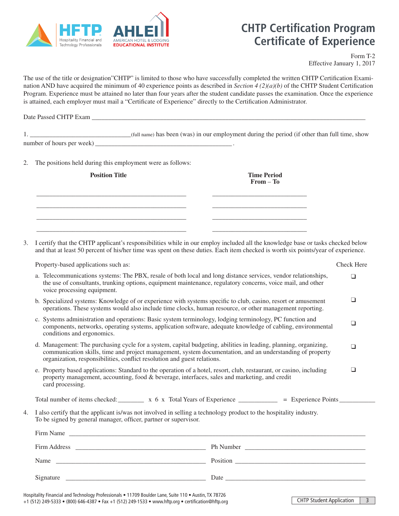

# **CHTP Certification Program Certificate of Experience**

Form T-2 Effective January 1, 2017

The use of the title or designation"CHTP" is limited to those who have successfully completed the written CHTP Certification Examination AND have acquired the minimum of 40 experience points as described in *Section 4 (2)(a)(b)* of the CHTP Student Certification Program. Experience must be attained no later than four years after the student candidate passes the examination. Once the experience is attained, each employer must mail a "Certificate of Experience" directly to the Certification Administrator.

Date Passed CHTP Exam \_\_\_\_\_\_\_\_\_\_\_\_\_\_\_\_\_\_\_\_\_\_\_\_\_\_\_\_\_\_\_\_\_\_\_\_\_\_\_\_\_\_\_\_\_\_\_\_\_\_\_\_\_\_\_\_\_\_\_\_\_\_\_\_\_\_\_\_\_\_\_\_\_\_\_\_\_\_\_\_\_\_\_\_

1.  $_{\text{(full name) has been (was) in our employment during the period (if other than full time, show)}$ number of hours per week) \_\_\_\_\_\_\_\_\_\_\_\_\_\_\_\_\_\_\_\_\_\_\_\_\_\_\_\_\_\_\_\_\_\_\_\_\_\_\_\_\_\_ .

2. The positions held during this employment were as follows:

| <b>Position Title</b> |  | <b>Time Period</b><br>$From - To$ |  |
|-----------------------|--|-----------------------------------|--|
|                       |  |                                   |  |
|                       |  |                                   |  |
|                       |  |                                   |  |

3. I certify that the CHTP applicant's responsibilities while in our employ included all the knowledge base or tasks checked below and that at least 50 percent of his/her time was spent on these duties. Each item checked is worth six points/year of experience.

Property-based applications such as: Check Here

|           | a. Telecommunications systems: The PBX, resale of both local and long distance services, vendor relationships,<br>□<br>the use of consultants, trunking options, equipment maintenance, regulatory concerns, voice mail, and other<br>voice processing equipment.                                                   |  |  |  |  |
|-----------|---------------------------------------------------------------------------------------------------------------------------------------------------------------------------------------------------------------------------------------------------------------------------------------------------------------------|--|--|--|--|
|           | ❏<br>b. Specialized systems: Knowledge of or experience with systems specific to club, casino, resort or amusement<br>operations. These systems would also include time clocks, human resource, or other management reporting.                                                                                      |  |  |  |  |
|           | c. Systems administration and operations: Basic system terminology, lodging terminology, PC function and<br>❏<br>components, networks, operating systems, application software, adequate knowledge of cabling, environmental<br>conditions and ergonomics.                                                          |  |  |  |  |
|           | d. Management: The purchasing cycle for a system, capital budgeting, abilities in leading, planning, organizing,<br>$\Box$<br>communication skills, time and project management, system documentation, and an understanding of property<br>organization, responsibilities, conflict resolution and guest relations. |  |  |  |  |
|           | e. Property based applications: Standard to the operation of a hotel, resort, club, restaurant, or casino, including<br>□<br>property management, accounting, food & beverage, interfaces, sales and marketing, and credit<br>card processing.                                                                      |  |  |  |  |
|           | Total number of items checked: $\frac{x}{x}$ $\frac{x}{y}$ Total Years of Experience $\frac{y}{x}$ = Experience Points $\frac{x}{y}$                                                                                                                                                                                |  |  |  |  |
|           | I also certify that the applicant is/was not involved in selling a technology product to the hospitality industry.<br>To be signed by general manager, officer, partner or supervisor.                                                                                                                              |  |  |  |  |
| Firm Name |                                                                                                                                                                                                                                                                                                                     |  |  |  |  |
|           |                                                                                                                                                                                                                                                                                                                     |  |  |  |  |
|           |                                                                                                                                                                                                                                                                                                                     |  |  |  |  |
|           | Signature                                                                                                                                                                                                                                                                                                           |  |  |  |  |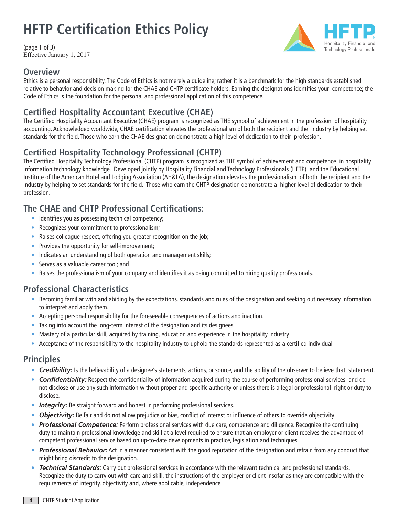# **HFTP Certification Ethics Policy**

(page 1 of 3) Effective January 1, 2017



Hospitality Financial and **Technology Professionals** 

Ethics is a personal responsibility. The Code of Ethics is not merely a guideline; rather it is a benchmark for the high standards established relative to behavior and decision making for the CHAE and CHTP certificate holders. Earning the designations identifies your competence; the Code of Ethics is the foundation for the personal and professional application of this competence.

### **Certified Hospitality Accountant Executive (CHAE)**

The Certified Hospitality Accountant Executive (CHAE) program is recognized as THE symbol of achievement in the profession of hospitality accounting. Acknowledged worldwide, CHAE certification elevates the professionalism of both the recipient and the industry by helping set standards for the field. Those who earn the CHAE designation demonstrate a high level of dedication to their profession.

## **Certified Hospitality Technology Professional (CHTP)**

The Certified Hospitality Technology Professional (CHTP) program is recognized as THE symbol of achievement and competence in hospitality information technology knowledge. Developed jointly by Hospitality Financial and Technology Professionals (HFTP) and the Educational Institute of the American Hotel and Lodging Association (AH&LA), the designation elevates the professionalism of both the recipient and the industry by helping to set standards for the field. Those who earn the CHTP designation demonstrate a higher level of dedication to their profession.

### **The CHAE and CHTP Professional Certifications:**

- Identifies you as possessing technical competency;
- Recognizes your commitment to professionalism;
- Raises colleague respect, offering you greater recognition on the job;
- Provides the opportunity for self-improvement;
- Indicates an understanding of both operation and management skills;
- Serves as a valuable career tool; and
- Raises the professionalism of your company and identifies it as being committed to hiring quality professionals.

### **Professional Characteristics**

- Becoming familiar with and abiding by the expectations, standards and rules of the designation and seeking out necessary information to interpret and apply them.
- Accepting personal responsibility for the foreseeable consequences of actions and inaction.
- Taking into account the long-term interest of the designation and its designees.
- Mastery of a particular skill, acquired by training, education and experience in the hospitality industry
- Acceptance of the responsibility to the hospitality industry to uphold the standards represented as a certified individual

### **Principles**

- **Credibility:** Is the believability of a designee's statements, actions, or source, and the ability of the observer to believe that statement.
- *Confidentiality:* Respect the confidentiality of information acquired during the course of performing professional services and do not disclose or use any such information without proper and specific authority or unless there is a legal or professional right or duty to disclose.
- **Integrity:** Be straight forward and honest in performing professional services.
- *Objectivity:* Be fair and do not allow prejudice or bias, conflict of interest or influence of others to override objectivity
- *Professional Competence:* Perform professional services with due care, competence and diligence. Recognize the continuing duty to maintain professional knowledge and skill at a level required to ensure that an employer or client receives the advantage of competent professional service based on up-to-date developments in practice, legislation and techniques.
- *Professional Behavior:* Act in a manner consistent with the good reputation of the designation and refrain from any conduct that might bring discredit to the designation.
- *Technical Standards:* Carry out professional services in accordance with the relevant technical and professional standards. Recognize the duty to carry out with care and skill, the instructions of the employer or client insofar as they are compatible with the requirements of integrity, objectivity and, where applicable, independence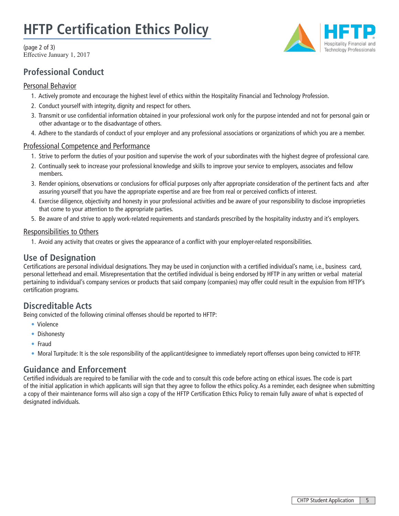# **HFTP Certification Ethics Policy**

(page 2 of 3) Effective January 1, 2017

### **Professional Conduct**

#### Personal Behavior

- 1. Actively promote and encourage the highest level of ethics within the Hospitality Financial and Technology Profession.
- 2. Conduct yourself with integrity, dignity and respect for others.
- 3. Transmit or use confidential information obtained in your professional work only for the purpose intended and not for personal gain or other advantage or to the disadvantage of others.
- 4. Adhere to the standards of conduct of your employer and any professional associations or organizations of which you are a member.

#### Professional Competence and Performance

- 1. Strive to perform the duties of your position and supervise the work of your subordinates with the highest degree of professional care.
- 2. Continually seek to increase your professional knowledge and skills to improve your service to employers, associates and fellow members.
- 3. Render opinions, observations or conclusions for official purposes only after appropriate consideration of the pertinent facts and after assuring yourself that you have the appropriate expertise and are free from real or perceived conflicts of interest.
- 4. Exercise diligence, objectivity and honesty in your professional activities and be aware of your responsibility to disclose improprieties that come to your attention to the appropriate parties.
- 5. Be aware of and strive to apply work-related requirements and standards prescribed by the hospitality industry and it's employers.

#### Responsibilities to Others

1. Avoid any activity that creates or gives the appearance of a conflict with your employer-related responsibilities.

#### **Use of Designation**

Certifications are personal individual designations. They may be used in conjunction with a certified individual's name, i.e., business card, personal letterhead and email. Misrepresentation that the certified individual is being endorsed by HFTP in any written or verbal material pertaining to individual's company services or products that said company (companies) may offer could result in the expulsion from HFTP's certification programs.

#### **Discreditable Acts**

Being convicted of the following criminal offenses should be reported to HFTP:

- Violence
- Dishonesty
- Fraud
- Moral Turpitude: It is the sole responsibility of the applicant/designee to immediately report offenses upon being convicted to HFTP.

#### **Guidance and Enforcement**

Certified individuals are required to be familiar with the code and to consult this code before acting on ethical issues. The code is part of the initial application in which applicants will sign that they agree to follow the ethics policy. As a reminder, each designee when submitting a copy of their maintenance forms will also sign a copy of the HFTP Certification Ethics Policy to remain fully aware of what is expected of designated individuals.

**Hospitality Financial and Technology Professionals**